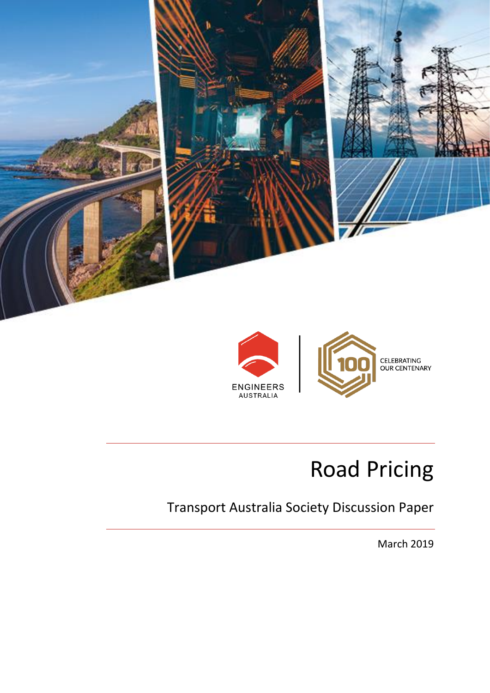



# Road Pricing

## Transport Australia Society Discussion Paper

March 2019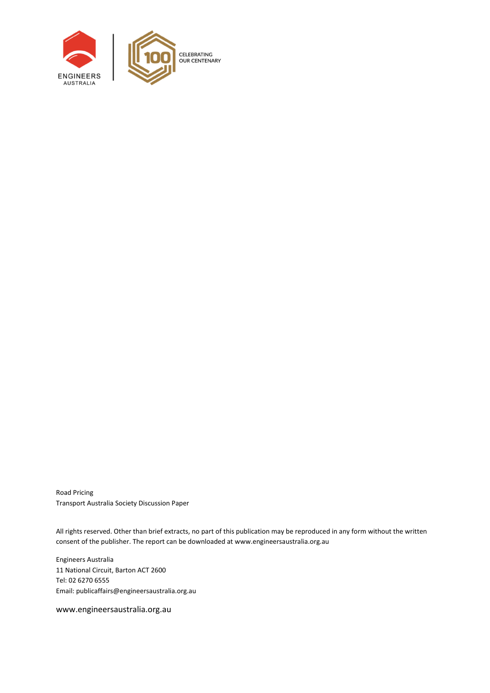

Road Pricing Transport Australia Society Discussion Paper

All rights reserved. Other than brief extracts, no part of this publication may be reproduced in any form without the written consent of the publisher. The report can be downloaded a[t www.engineersaustralia.org.au](file://///EACBR-FILES/Volumes/eacbr-files.DATA/national/IEAust/Shared/MarkComm/_EA%20GRAPHIC%20DESIGN/P/Policy/660610%20Policy%20Report%20-%20Word%20Template%20Update/Working/www.engineersaustralia.org.au)

Engineers Australia 11 National Circuit, Barton ACT 2600 Tel: 02 6270 6555 Email[: publicaffairs@engineersaustralia.org.au](mailto:publicaffairs@engineersaustralia.org.au)

www.engineersaustralia.org.au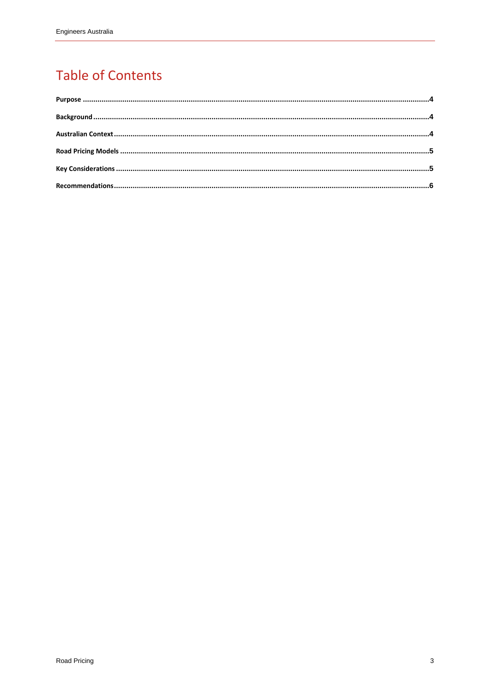### **Table of Contents**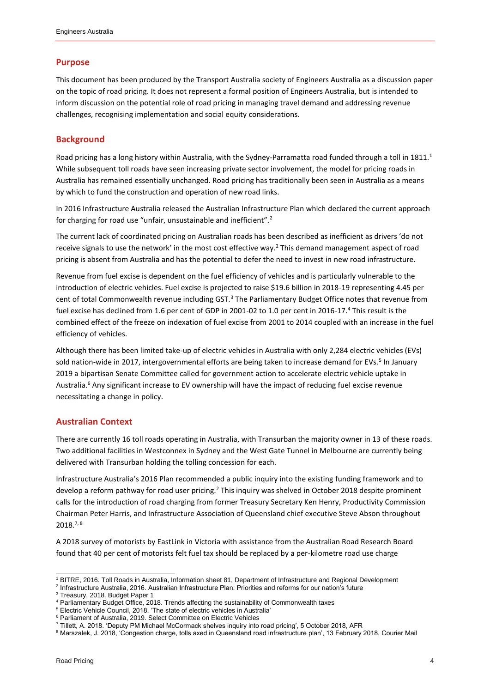#### <span id="page-3-0"></span>**Purpose**

This document has been produced by the Transport Australia society of Engineers Australia as a discussion paper on the topic of road pricing. It does not represent a formal position of Engineers Australia, but is intended to inform discussion on the potential role of road pricing in managing travel demand and addressing revenue challenges, recognising implementation and social equity considerations.

#### <span id="page-3-1"></span>**Background**

Road pricing has a long history within Australia, with the Sydney-Parramatta road funded through a toll in 1811.<sup>1</sup> While subsequent toll roads have seen increasing private sector involvement, the model for pricing roads in Australia has remained essentially unchanged. Road pricing has traditionally been seen in Australia as a means by which to fund the construction and operation of new road links.

<span id="page-3-3"></span>In 2016 Infrastructure Australia released the Australian Infrastructure Plan which declared the current approach for charging for road use "unfair, unsustainable and inefficient".<sup>2</sup>

The current lack of coordinated pricing on Australian roads has been described as inefficient as drivers 'do not receive signals to use the network' in the most cost effective way[.](#page-3-3)<sup>2</sup> This demand management aspect of road pricing is absent from Australia and has the potential to defer the need to invest in new road infrastructure.

Revenue from fuel excise is dependent on the fuel efficiency of vehicles and is particularly vulnerable to the introduction of electric vehicles. Fuel excise is projected to raise \$19.6 billion in 2018-19 representing 4.45 per cent of total Commonwealth revenue including GST.<sup>3</sup> The Parliamentary Budget Office notes that revenue from fuel excise has declined from 1.6 per cent of GDP in 2001-02 to 1.0 per cent in 2016-17.<sup>4</sup> This result is the combined effect of the freeze on indexation of fuel excise from 2001 to 2014 coupled with an increase in the fuel efficiency of vehicles.

Although there has been limited take-up of electric vehicles in Australia with only 2,284 electric vehicles (EVs) sold nation-wide in 2017, intergovernmental efforts are being taken to increase demand for EVs.<sup>5</sup> In January 2019 a bipartisan Senate Committee called for government action to accelerate electric vehicle uptake in Australia.<sup>6</sup> Any significant increase to EV ownership will have the impact of reducing fuel excise revenue necessitating a change in policy.

#### <span id="page-3-2"></span>**Australian Context**

There are currently 16 toll roads operating in Australia, with Transurban the majority owner in 13 of these roads. Two additional facilities in Westconnex in Sydney and the West Gate Tunnel in Melbourne are currently being delivered with Transurban holding the tolling concession for each.

Infrastructure Australia's 2016 Plan recommended a public inquiry into the existing funding framework and to develop a reform pathway for road user pricing.<sup>[2](#page-3-3)</sup> This inquiry was shelved in October 2018 despite prominent calls for the introduction of road charging from former Treasury Secretary Ken Henry, Productivity Commission Chairman Peter Harris, and Infrastructure Association of Queensland chief executive Steve Abson throughout  $2018.<sup>7,8</sup>$ 

A 2018 survey of motorists by EastLink in Victoria with assistance from the Australian Road Research Board found that 40 per cent of motorists felt fuel tax should be replaced by a per-kilometre road use charge

l

<sup>1</sup> BITRE, 2016. Toll Roads in Australia, Information sheet 81, Department of Infrastructure and Regional Development

<sup>2</sup> Infrastructure Australia, 2016. Australian Infrastructure Plan: Priorities and reforms for our nation's future <sup>3</sup> Treasury, 2018. Budget Paper 1

<sup>4</sup> Parliamentary Budget Office, 2018. Trends affecting the sustainability of Commonwealth taxes

<sup>5</sup> Electric Vehicle Council, 2018. 'The state of electric vehicles in Australia'

<sup>&</sup>lt;sup>6</sup> Parliament of Australia, 2019. Select Committee on Electric Vehicles

<sup>7</sup> Tillett, A. 2018. 'Deputy PM Michael McCormack shelves inquiry into road pricing', 5 October 2018, AFR

<sup>8</sup> Marszalek, J. 2018, 'Congestion charge, tolls axed in Queensland road infrastructure plan', 13 February 2018, Courier Mail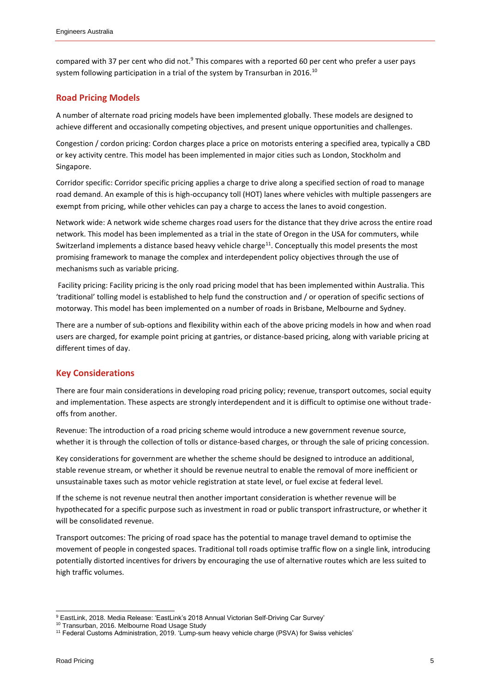<span id="page-4-3"></span><span id="page-4-2"></span>compared with 37 per cent who did not.<sup>9</sup> This compares with a reported 60 per cent who prefer a user pays system following participation in a trial of the system by Transurban in 2016.<sup>10</sup>

#### <span id="page-4-0"></span>**Road Pricing Models**

A number of alternate road pricing models have been implemented globally. These models are designed to achieve different and occasionally competing objectives, and present unique opportunities and challenges.

Congestion / cordon pricing: Cordon charges place a price on motorists entering a specified area, typically a CBD or key activity centre. This model has been implemented in major cities such as London, Stockholm and Singapore.

Corridor specific: Corridor specific pricing applies a charge to drive along a specified section of road to manage road demand. An example of this is high-occupancy toll (HOT) lanes where vehicles with multiple passengers are exempt from pricing, while other vehicles can pay a charge to access the lanes to avoid congestion.

Network wide: A network wide scheme charges road users for the distance that they drive across the entire road network. This model has been implemented as a trial in the state of Oregon in the USA for commuters, while Switzerland implements a distance based heavy vehicle charge<sup>11</sup>. Conceptually this model presents the most promising framework to manage the complex and interdependent policy objectives through the use of mechanisms such as variable pricing.

Facility pricing: Facility pricing is the only road pricing model that has been implemented within Australia. This 'traditional' tolling model is established to help fund the construction and / or operation of specific sections of motorway. This model has been implemented on a number of roads in Brisbane, Melbourne and Sydney.

There are a number of sub-options and flexibility within each of the above pricing models in how and when road users are charged, for example point pricing at gantries, or distance-based pricing, along with variable pricing at different times of day.

#### <span id="page-4-1"></span>**Key Considerations**

There are four main considerations in developing road pricing policy; revenue, transport outcomes, social equity and implementation. These aspects are strongly interdependent and it is difficult to optimise one without tradeoffs from another.

Revenue: The introduction of a road pricing scheme would introduce a new government revenue source, whether it is through the collection of tolls or distance-based charges, or through the sale of pricing concession.

Key considerations for government are whether the scheme should be designed to introduce an additional, stable revenue stream, or whether it should be revenue neutral to enable the removal of more inefficient or unsustainable taxes such as motor vehicle registration at state level, or fuel excise at federal level.

If the scheme is not revenue neutral then another important consideration is whether revenue will be hypothecated for a specific purpose such as investment in road or public transport infrastructure, or whether it will be consolidated revenue.

Transport outcomes: The pricing of road space has the potential to manage travel demand to optimise the movement of people in congested spaces. Traditional toll roads optimise traffic flow on a single link, introducing potentially distorted incentives for drivers by encouraging the use of alternative routes which are less suited to high traffic volumes.

l <sup>9</sup> EastLink, 2018. Media Release: 'EastLink's 2018 Annual Victorian Self-Driving Car Survey'

<sup>10</sup> Transurban, 2016. Melbourne Road Usage Study

<sup>11</sup> Federal Customs Administration, 2019. 'Lump-sum heavy vehicle charge (PSVA) for Swiss vehicles'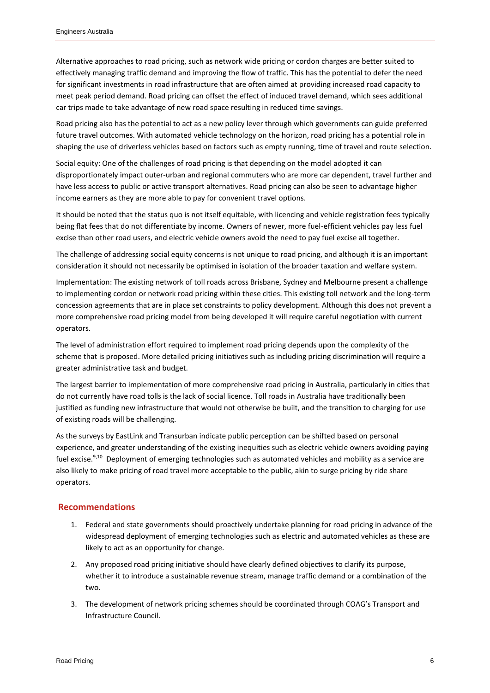Alternative approaches to road pricing, such as network wide pricing or cordon charges are better suited to effectively managing traffic demand and improving the flow of traffic. This has the potential to defer the need for significant investments in road infrastructure that are often aimed at providing increased road capacity to meet peak period demand. Road pricing can offset the effect of induced travel demand, which sees additional car trips made to take advantage of new road space resulting in reduced time savings.

Road pricing also has the potential to act as a new policy lever through which governments can guide preferred future travel outcomes. With automated vehicle technology on the horizon, road pricing has a potential role in shaping the use of driverless vehicles based on factors such as empty running, time of travel and route selection.

Social equity: One of the challenges of road pricing is that depending on the model adopted it can disproportionately impact outer-urban and regional commuters who are more car dependent, travel further and have less access to public or active transport alternatives. Road pricing can also be seen to advantage higher income earners as they are more able to pay for convenient travel options.

It should be noted that the status quo is not itself equitable, with licencing and vehicle registration fees typically being flat fees that do not differentiate by income. Owners of newer, more fuel-efficient vehicles pay less fuel excise than other road users, and electric vehicle owners avoid the need to pay fuel excise all together.

The challenge of addressing social equity concerns is not unique to road pricing, and although it is an important consideration it should not necessarily be optimised in isolation of the broader taxation and welfare system.

Implementation: The existing network of toll roads across Brisbane, Sydney and Melbourne present a challenge to implementing cordon or network road pricing within these cities. This existing toll network and the long-term concession agreements that are in place set constraints to policy development. Although this does not prevent a more comprehensive road pricing model from being developed it will require careful negotiation with current operators.

The level of administration effort required to implement road pricing depends upon the complexity of the scheme that is proposed. More detailed pricing initiatives such as including pricing discrimination will require a greater administrative task and budget.

The largest barrier to implementation of more comprehensive road pricing in Australia, particularly in cities that do not currently have road tolls is the lack of social licence. Toll roads in Australia have traditionally been justified as funding new infrastructure that would not otherwise be built, and the transition to charging for use of existing roads will be challenging.

As the surveys by EastLink and Transurban indicate public perception can be shifted based on personal experience, and greater understanding of the existing inequities such as electric vehicle owners avoiding paying fuel excise.<sup>[9,](#page-4-2)[10](#page-4-3)</sup> Deployment of emerging technologies such as automated vehicles and mobility as a service are also likely to make pricing of road travel more acceptable to the public, akin to surge pricing by ride share operators.

#### <span id="page-5-0"></span>**Recommendations**

- 1. Federal and state governments should proactively undertake planning for road pricing in advance of the widespread deployment of emerging technologies such as electric and automated vehicles as these are likely to act as an opportunity for change.
- 2. Any proposed road pricing initiative should have clearly defined objectives to clarify its purpose, whether it to introduce a sustainable revenue stream, manage traffic demand or a combination of the two.
- 3. The development of network pricing schemes should be coordinated through COAG's Transport and Infrastructure Council.